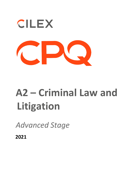

## **A2 – Criminal Law and Litigation**

*Advanced Stage* 

**2021**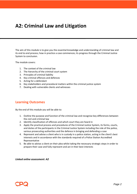## **A2: Criminal Law and Litigation**

The aim of this module is to give you the essential knowledge and understanding of criminal law and its end to end process; how in practice a case commences; its progress through the Criminal Justice System to conclusion.

The module covers:

- 1. The context of the criminal law
- 2. The hierarchy of the criminal court system
- 3. Principles of criminal liability
- 4. Key criminal offences and defences
- 5. Acting for a defendant
- 6. Key stakeholders and procedural matters within the criminal justice system
- 7. Dealing with vulnerable clients and witnesses

## **Learning Outcomes**

By the end of this module you will be able to:

- 1. Outline the purpose and function of the criminal law and recognise key differences between the civil and criminal law
- 2. Identify classification of offences and which court they are heard in
- 3. Apply the practical process and procedures of the Criminal Justice System, its forms, courts, and duties of the participants in the Criminal Justice System including the role of the police, various prosecuting authorities and the defence in bringing and defending a case
- 4. Represent and advise a client who is in custody in a police station, acting in the client's best interests and in accordance with the standards required of a Police Station Accredited Representative
- 5. Be able to advise a client on their plea whilst taking the necessary strategic steps in order to prepare their case and fully represent and act in their best interests

*Linked online assessment: A2*

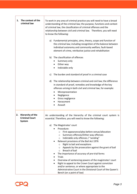| The context of the<br>1.<br>criminal law                         | To work in any area of criminal practice you will need to have a broad<br>understanding of the criminal law; the purpose, functions and context<br>of criminal law, the classification of criminal offences and the<br>relationship between civil and criminal law. Therefore, you will need<br>to know the following:<br>Fundamental principles, aims, theory, scope and function of<br>a)<br>the criminal law; including recognition of the balance between<br>individual autonomy and community welfare, fault-based<br>element of crime, retributive justice and rehabilitation<br>The classification of offences<br>b)<br>Summary only<br>Either way<br>٠<br>Indictable only<br>The burden and standard of proof in a criminal case<br>c)<br>d) The relationship between criminal and civil law; the difference<br>in standard of proof, remedies and knowledge of the key<br>offences arising in both civil and criminal law, for example:<br>Misrepresentation<br>٠<br>Negligence<br>٠<br>Gross negligence<br>Harassment<br>Assault |
|------------------------------------------------------------------|--------------------------------------------------------------------------------------------------------------------------------------------------------------------------------------------------------------------------------------------------------------------------------------------------------------------------------------------------------------------------------------------------------------------------------------------------------------------------------------------------------------------------------------------------------------------------------------------------------------------------------------------------------------------------------------------------------------------------------------------------------------------------------------------------------------------------------------------------------------------------------------------------------------------------------------------------------------------------------------------------------------------------------------------|
| Hierarchy of the<br>2.<br><b>Criminal Court</b><br><b>System</b> | An understanding of the hierarchy of the criminal court system is<br>essential. Therefore, you will need to know the following:<br>The Magistrates' court<br>a)<br>Procedure:<br>First appearance/plea before venue/allocation<br>$\circ$<br>Summary offences/Either-way offences<br>$\circ$<br>Indictable only offences / "sending"<br>$\circ$<br>Relevant provisions of the Bail Act 1976<br>Right to bail and exceptions<br>$\circ$<br>Appeals by the prosecution against the grant of bail<br>$\circ$<br>Breach of bail<br>$\circ$<br>The importance of accuracy of pre-trial forms<br>٠<br><b>Trials</b><br>Overview of sentencing powers of the magistrates' court<br>٠<br>Right to appeal to the Crown Court against conviction<br>$\bullet$<br>and/or sentence, or where appropriate to the<br>Administrative Court in the Divisional Court of the Queen's<br>Bench (on a point of law)                                                                                                                                            |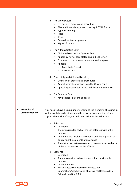|                                                         | b) The Crown Court<br>Overview of process and procedures<br>٠<br>Plea and Case Management Hearing (PCMH) forms<br>٠<br>Types of hearings<br>٠<br>Pleas<br>$\bullet$<br><b>Trials</b><br>General sentencing powers<br>$\bullet$<br>Rights of appeal<br>٠<br>The Administrative Court<br>C)<br>Divisional court of the Queen's Bench<br>Appeal by way of case stated and judicial review<br>$\bullet$<br>Overview of the process, procedure and purpose<br>Appeals<br>Magistrates' court<br>$\circ$<br>Crown Court<br>$\circ$<br>d) Court of Appeal (Criminal Division)<br>Overview of process and procedures<br>Appeal against conviction from the Crown Court<br>Appeal against sentence and unduly lenient sentences<br>The Supreme Court<br>e)<br>Key decisions on criminal cases                                                                 |
|---------------------------------------------------------|-----------------------------------------------------------------------------------------------------------------------------------------------------------------------------------------------------------------------------------------------------------------------------------------------------------------------------------------------------------------------------------------------------------------------------------------------------------------------------------------------------------------------------------------------------------------------------------------------------------------------------------------------------------------------------------------------------------------------------------------------------------------------------------------------------------------------------------------------------|
| <b>Principles of</b><br>3.<br><b>Criminal Liability</b> | You need to have a sound understanding of the elements of a crime in<br>order to advise a client based on their instructions and the evidence<br>against them. Therefore, you will need to know the following:<br>Actus reus<br>a)<br>Definition<br>The actus reus for each of the key offences within this<br>$\bullet$<br>module<br>Voluntary and involuntary conduct and the impact of this<br>on proving the elements of an offence<br>The distinction between conduct, circumstances and result<br>$\bullet$<br>of the actus reus within the offence<br>b) Mens rea<br>Definition<br>The mens rea for each of the key offences within this<br>$\bullet$<br>module<br>Direct intention<br>$\bullet$<br>Recklessness: subjective recklessness (R v<br>$\bullet$<br>Cunningham/Stephenson), objective recklessness (R v<br>Caldwell) and RV G & R |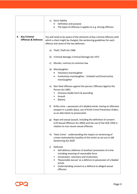|                                                             | c) Strict liability<br>Definition and purpose<br>The types of offences it applies to e.g. driving offences                                                                                                                                                                                                                 |
|-------------------------------------------------------------|----------------------------------------------------------------------------------------------------------------------------------------------------------------------------------------------------------------------------------------------------------------------------------------------------------------------------|
| <b>Key Criminal</b><br>4.<br><b>Offences &amp; Defences</b> | You will need to be aware of the elements of key criminal offences with<br>which a client might be charged, the sentencing guidelines for each<br>offence and some of the key defences:                                                                                                                                    |
|                                                             | Theft; Theft Act 1968<br>a)                                                                                                                                                                                                                                                                                                |
|                                                             | Criminal damage; Criminal Damage Act 1971<br>b)                                                                                                                                                                                                                                                                            |
|                                                             | Murder; contrary to common law<br>C)                                                                                                                                                                                                                                                                                       |
|                                                             | d) Manslaughter:                                                                                                                                                                                                                                                                                                           |
|                                                             | Voluntary manslaughter                                                                                                                                                                                                                                                                                                     |
|                                                             | Involuntary manslaughter - Unlawful act/Constructive<br>٠<br>manslaughter                                                                                                                                                                                                                                                  |
|                                                             | e) Non-fatal offences against the person; Offences Against the<br>Person Act 1861:                                                                                                                                                                                                                                         |
|                                                             | Grievous bodily harm & wounding<br>$\bullet$                                                                                                                                                                                                                                                                               |
|                                                             | Assault<br>٠                                                                                                                                                                                                                                                                                                               |
|                                                             | <b>Battery</b><br>٠                                                                                                                                                                                                                                                                                                        |
|                                                             | f)<br>Knife crime – possession of a bladed article, having an offensive<br>weapon in a public place, use of Knife Crime Prevention Orders<br>as an alternative to prosecution                                                                                                                                              |
|                                                             | Rape and sexual assault, including the definition of consent<br>g)<br>(s76 Sexual Offences Act 2003) and the use of the SOA 1956 in<br>relation to non-recent sexual offences                                                                                                                                              |
|                                                             | h) 'Hate Crime' - understanding the impact on sentencing of<br>crimes motivated by hostility of the victim as set out in s66<br>Sentencing Act 2020                                                                                                                                                                        |
|                                                             | Defences<br>i)<br>Self-defence /defence of another/ prevention of crime<br>including meaning of reasonable force<br>Intoxication: voluntary and involuntary<br>٠<br>'Reasonable excuse' as a defence to possession of a bladed<br>article<br>Understanding consent as a defence to alleged sexual<br>$\bullet$<br>offences |

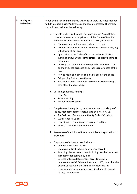| 5. Acting for a<br><b>Defendant</b> | When acting for a defendant you will need to know the steps required<br>to fully prepare a client's defence as the case progresses. Therefore,<br>you will need to know the following:                                                                                                                                                                                                                                                                                                                                                                                                                                                                                                                                                                                                                                                                                          |
|-------------------------------------|---------------------------------------------------------------------------------------------------------------------------------------------------------------------------------------------------------------------------------------------------------------------------------------------------------------------------------------------------------------------------------------------------------------------------------------------------------------------------------------------------------------------------------------------------------------------------------------------------------------------------------------------------------------------------------------------------------------------------------------------------------------------------------------------------------------------------------------------------------------------------------|
|                                     | a) The role of defence through the Police Station Accreditation<br>scheme; relevance and application of the Codes of Practice<br>under Police and Criminal Evidence Act 1984 (PACE 1984)<br>Obtaining relevant information from the client<br>Client care: managing clients in difficult circumstances, e.g.<br>٠<br>withdrawing from drugs<br>Application of the Codes of Practice under PACE 1984,<br>$\bullet$<br>including lawful arrest, identification, the client's rights at<br>the station<br>Advising the client on how to respond in interview based<br>$\bullet$<br>on the evidence disclosed and other circumstances of the<br>case<br>How to make and handle complaints against the police<br>$\bullet$<br>Bail pending further investigation<br>$\bullet$<br>Bail after charge, alternatives to charging, commencing a<br>$\bullet$<br>case other than by charge |
|                                     | b) Obtaining adequate funding:<br>Legal Aid<br>Private funding<br>Insurance policy cover<br>٠                                                                                                                                                                                                                                                                                                                                                                                                                                                                                                                                                                                                                                                                                                                                                                                   |
|                                     | Compliance with regulatory requirements and knowledge of<br>c)<br>the key requirements most relevant to criminal law, i.e.<br>The Solicitors' Regulatory Authority Code of Conduct<br><b>SQM Standard/Lexcel</b><br>Legal Services Commission terms and conditions<br>Private Client terms and conditions                                                                                                                                                                                                                                                                                                                                                                                                                                                                                                                                                                       |
|                                     | d) Awareness of the Criminal Procedure Rules and application to<br>procedure                                                                                                                                                                                                                                                                                                                                                                                                                                                                                                                                                                                                                                                                                                                                                                                                    |
|                                     | Preparation of a client's case, including:<br>e)<br>Completion of form MC100<br>Obtaining full instructions on evidence served<br>Providing plea advice to client including possible reduction<br>in sentence for early guilty plea<br>Defence witness statements in accordance with<br>requirements of s9 Criminal Justice Act 1967, to further the<br>objectives set out in the Criminal Procedure Rules<br>Ensuring ongoing compliance with SRA Code of Conduct<br>throughout the case                                                                                                                                                                                                                                                                                                                                                                                       |

 $\mathsf{r}$ 

٦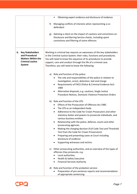|                                                                                                                          | Obtaining expert evidence and disclosure of evidence                                                                                                                                                                                                                                                                                                                                                                                                                                                                                                                                                                             |
|--------------------------------------------------------------------------------------------------------------------------|----------------------------------------------------------------------------------------------------------------------------------------------------------------------------------------------------------------------------------------------------------------------------------------------------------------------------------------------------------------------------------------------------------------------------------------------------------------------------------------------------------------------------------------------------------------------------------------------------------------------------------|
|                                                                                                                          | Managing conflicts of interests when representing a co-<br>f)<br>defendant                                                                                                                                                                                                                                                                                                                                                                                                                                                                                                                                                       |
|                                                                                                                          | Advising a client on the impact of cautions and convictions on<br>g)<br>Disclosure and Barring Service checks, including spent<br>convictions and filtering of some offences                                                                                                                                                                                                                                                                                                                                                                                                                                                     |
| <b>Key Stakeholders</b><br>6.<br>and Procedural<br><b>Matters Within the</b><br><b>Criminal Justice</b><br><b>System</b> | Working in criminal law requires an awareness of the key stakeholders<br>in the Criminal Justice System; their roles, functions and procedures.<br>You will need to know the sequence of its procedures to provide<br>support, care and conduct through the life of a criminal case.<br>Therefore, you will need to know the following:                                                                                                                                                                                                                                                                                          |
|                                                                                                                          | Role and function of the police:<br>a)<br>The role and responsibilities of the police in relation to<br>investigation, arrest, detention, bail and charge<br>Requirements of PACE (Police & Criminal Evidence Act)<br>1984<br>Alternative disposals, e.g. cautions, Single Justice<br>٠<br>Procedure Notices, Domestic Violence Protection Orders                                                                                                                                                                                                                                                                                |
|                                                                                                                          | Role and function of the CPS:<br>b)<br>Effects of the Prosecution of Offences Act 1985<br>The CPS as an independent body<br>$\bullet$<br>Adherence to the Code for Crown Prosecutors and other<br>$\bullet$<br>statutory duties and powers to prosecute individuals, and<br>various business entities<br>Relationship with the police, defence, courts and other<br>prosecuting agencies<br>Making the charging decision (Full Code Test and Threshold<br>٠<br>Test from the Code for Crown Prosecutors)<br>Preparing and presenting cases at Court including<br>٠<br>disclosure of evidence<br>Supporting witnesses and victims |
|                                                                                                                          | c) Other prosecuting authorities, and an overview of the types of<br>offences they prosecute, e.g.<br>Local authorities<br>Health & Safety Executive<br><b>Financial Services Authority</b><br>$\bullet$                                                                                                                                                                                                                                                                                                                                                                                                                         |
|                                                                                                                          | d) Role and function of the probation service:<br>Preparation of pre-sentence reports and recommendation<br>of appropriate sentencing                                                                                                                                                                                                                                                                                                                                                                                                                                                                                            |